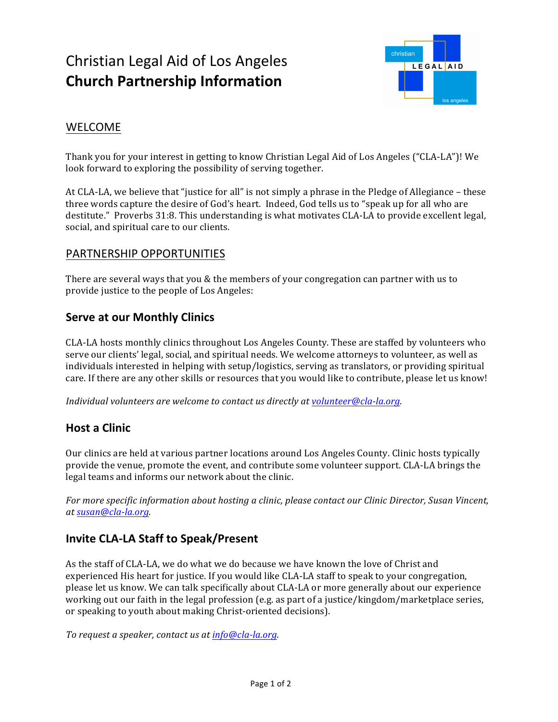# Christian Legal Aid of Los Angeles **Church Partnership Information**



## WELCOME

Thank you for your interest in getting to know Christian Legal Aid of Los Angeles ("CLA-LA")! We look forward to exploring the possibility of serving together.

At CLA-LA, we believe that "justice for all" is not simply a phrase in the Pledge of Allegiance – these three words capture the desire of God's heart. Indeed, God tells us to "speak up for all who are destitute." Proverbs 31:8. This understanding is what motivates CLA-LA to provide excellent legal, social, and spiritual care to our clients.

#### PARTNERSHIP OPPORTUNITIES

There are several ways that you  $&$  the members of your congregation can partner with us to provide justice to the people of Los Angeles:

### **Serve at our Monthly Clinics**

CLA-LA hosts monthly clinics throughout Los Angeles County. These are staffed by volunteers who serve our clients' legal, social, and spiritual needs. We welcome attorneys to volunteer, as well as individuals interested in helping with setup/logistics, serving as translators, or providing spiritual care. If there are any other skills or resources that you would like to contribute, please let us know!

*Individual volunteers are welcome to contact us directly at volunteer@cla-la.org.* 

### **Host a Clinic**

Our clinics are held at various partner locations around Los Angeles County. Clinic hosts typically provide the venue, promote the event, and contribute some volunteer support. CLA-LA brings the legal teams and informs our network about the clinic.

*For more specific information about hosting a clinic, please contact our Clinic Director, Susan Vincent, at susan@cla-la.org.* 

### **Invite CLA-LA Staff to Speak/Present**

As the staff of CLA-LA, we do what we do because we have known the love of Christ and experienced His heart for justice. If you would like CLA-LA staff to speak to your congregation, please let us know. We can talk specifically about CLA-LA or more generally about our experience working out our faith in the legal profession (e.g. as part of a justice/kingdom/marketplace series, or speaking to youth about making Christ-oriented decisions).

*To request a speaker, contact us at info@cla-la.org.*